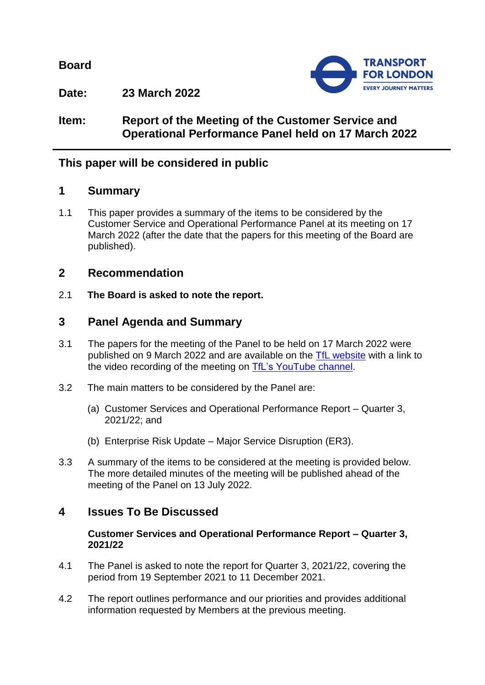**Board**



**Date: 23 March 2022**

**Item: Report of the Meeting of the Customer Service and Operational Performance Panel held on 17 March 2022**

## **This paper will be considered in public**

### **1 Summary**

1.1 This paper provides a summary of the items to be considered by the Customer Service and Operational Performance Panel at its meeting on 17 March 2022 (after the date that the papers for this meeting of the Board are published).

## **2 Recommendation**

2.1 **The Board is asked to note the report.**

## **3 Panel Agenda and Summary**

- 3.1 The papers for the meeting of the Panel to be held on 17 March 2022 were published on 9 March 2022 and are available on the [TfL website](https://board.tfl.gov.uk/ieListMeetings.aspx?CommitteeId=173) with a link to the video recording of the meeting on [TfL's YouTube](https://www.youtube.com/playlist?list=PLtnlusA0Zoggk4qvN68OcnD9k_7B8cY_d) channel.
- 3.2 The main matters to be considered by the Panel are:
	- (a) Customer Services and Operational Performance Report Quarter 3, 2021/22; and
	- (b) Enterprise Risk Update Major Service Disruption (ER3).
- 3.3 A summary of the items to be considered at the meeting is provided below. The more detailed minutes of the meeting will be published ahead of the meeting of the Panel on 13 July 2022.

# **4 Issues To Be Discussed**

### **Customer Services and Operational Performance Report – Quarter 3, 2021/22**

- 4.1 The Panel is asked to note the report for Quarter 3, 2021/22, covering the period from 19 September 2021 to 11 December 2021.
- 4.2 The report outlines performance and our priorities and provides additional information requested by Members at the previous meeting.